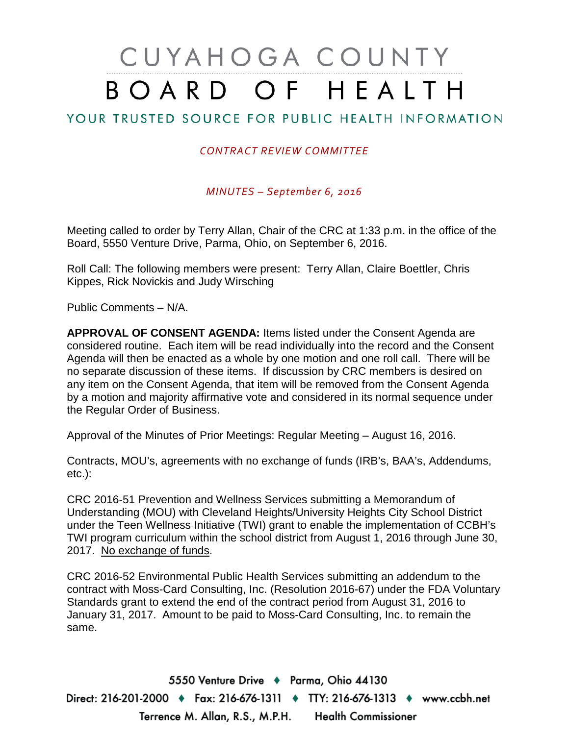# CUYAHOGA COUNTY BOARD OF HEALTH

# YOUR TRUSTED SOURCE FOR PUBLIC HEALTH INFORMATION

#### *CONTRACT REVIEW COMMITTEE*

*MINUTES – September 6, 2016*

Meeting called to order by Terry Allan, Chair of the CRC at 1:33 p.m. in the office of the Board, 5550 Venture Drive, Parma, Ohio, on September 6, 2016.

Roll Call: The following members were present: Terry Allan, Claire Boettler, Chris Kippes, Rick Novickis and Judy Wirsching

Public Comments – N/A.

**APPROVAL OF CONSENT AGENDA:** Items listed under the Consent Agenda are considered routine. Each item will be read individually into the record and the Consent Agenda will then be enacted as a whole by one motion and one roll call. There will be no separate discussion of these items. If discussion by CRC members is desired on any item on the Consent Agenda, that item will be removed from the Consent Agenda by a motion and majority affirmative vote and considered in its normal sequence under the Regular Order of Business.

Approval of the Minutes of Prior Meetings: Regular Meeting – August 16, 2016.

Contracts, MOU's, agreements with no exchange of funds (IRB's, BAA's, Addendums, etc.):

CRC 2016-51 Prevention and Wellness Services submitting a Memorandum of Understanding (MOU) with Cleveland Heights/University Heights City School District under the Teen Wellness Initiative (TWI) grant to enable the implementation of CCBH's TWI program curriculum within the school district from August 1, 2016 through June 30, 2017. No exchange of funds.

CRC 2016-52 Environmental Public Health Services submitting an addendum to the contract with Moss-Card Consulting, Inc. (Resolution 2016-67) under the FDA Voluntary Standards grant to extend the end of the contract period from August 31, 2016 to January 31, 2017. Amount to be paid to Moss-Card Consulting, Inc. to remain the same.

5550 Venture Drive + Parma, Ohio 44130 Direct: 216-201-2000 ♦ Fax: 216-676-1311 ♦ TTY: 216-676-1313 ♦ www.ccbh.net Terrence M. Allan, R.S., M.P.H. Health Commissioner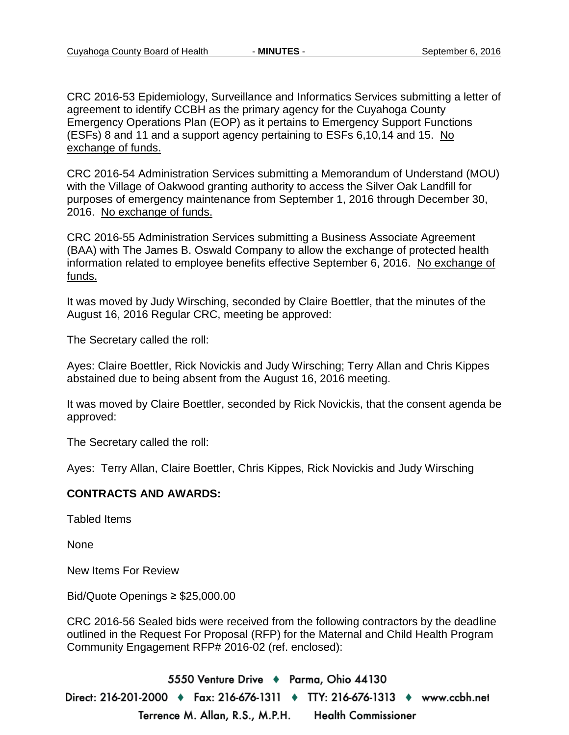CRC 2016-53 Epidemiology, Surveillance and Informatics Services submitting a letter of agreement to identify CCBH as the primary agency for the Cuyahoga County Emergency Operations Plan (EOP) as it pertains to Emergency Support Functions (ESFs) 8 and 11 and a support agency pertaining to ESFs 6,10,14 and 15. No exchange of funds.

CRC 2016-54 Administration Services submitting a Memorandum of Understand (MOU) with the Village of Oakwood granting authority to access the Silver Oak Landfill for purposes of emergency maintenance from September 1, 2016 through December 30, 2016. No exchange of funds.

CRC 2016-55 Administration Services submitting a Business Associate Agreement (BAA) with The James B. Oswald Company to allow the exchange of protected health information related to employee benefits effective September 6, 2016. No exchange of funds.

It was moved by Judy Wirsching, seconded by Claire Boettler, that the minutes of the August 16, 2016 Regular CRC, meeting be approved:

The Secretary called the roll:

Ayes: Claire Boettler, Rick Novickis and Judy Wirsching; Terry Allan and Chris Kippes abstained due to being absent from the August 16, 2016 meeting.

It was moved by Claire Boettler, seconded by Rick Novickis, that the consent agenda be approved:

The Secretary called the roll:

Ayes: Terry Allan, Claire Boettler, Chris Kippes, Rick Novickis and Judy Wirsching

#### **CONTRACTS AND AWARDS:**

Tabled Items

None

New Items For Review

Bid/Quote Openings ≥ \$25,000.00

CRC 2016-56 Sealed bids were received from the following contractors by the deadline outlined in the Request For Proposal (RFP) for the Maternal and Child Health Program Community Engagement RFP# 2016-02 (ref. enclosed):

5550 Venture Drive + Parma, Ohio 44130 Direct: 216-201-2000 ♦ Fax: 216-676-1311 ♦ TTY: 216-676-1313 ♦ www.ccbh.net Terrence M. Allan, R.S., M.P.H. **Health Commissioner**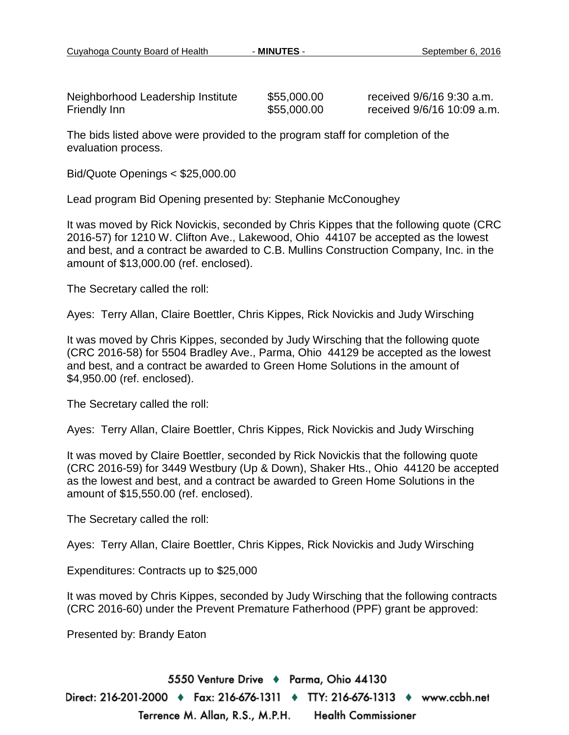Neighborhood Leadership Institute  $\begin{array}{r} 1.30 \pm 0.30 \\ -0.55 \pm 0.000 \end{array}$  received 9/6/16 9:30 a.m.<br>Friendly Inn stitute  $\begin{array}{r} 1.30 \pm 0.000 \\ -0.00 \end{array}$  received 9/6/16 10:09 a.m

 $$55,000.00$  received  $9/6/16$  10:09 a.m.

The bids listed above were provided to the program staff for completion of the evaluation process.

Bid/Quote Openings < \$25,000.00

Lead program Bid Opening presented by: Stephanie McConoughey

It was moved by Rick Novickis, seconded by Chris Kippes that the following quote (CRC 2016-57) for 1210 W. Clifton Ave., Lakewood, Ohio 44107 be accepted as the lowest and best, and a contract be awarded to C.B. Mullins Construction Company, Inc. in the amount of \$13,000.00 (ref. enclosed).

The Secretary called the roll:

Ayes: Terry Allan, Claire Boettler, Chris Kippes, Rick Novickis and Judy Wirsching

It was moved by Chris Kippes, seconded by Judy Wirsching that the following quote (CRC 2016-58) for 5504 Bradley Ave., Parma, Ohio 44129 be accepted as the lowest and best, and a contract be awarded to Green Home Solutions in the amount of \$4,950.00 (ref. enclosed).

The Secretary called the roll:

Ayes: Terry Allan, Claire Boettler, Chris Kippes, Rick Novickis and Judy Wirsching

It was moved by Claire Boettler, seconded by Rick Novickis that the following quote (CRC 2016-59) for 3449 Westbury (Up & Down), Shaker Hts., Ohio 44120 be accepted as the lowest and best, and a contract be awarded to Green Home Solutions in the amount of \$15,550.00 (ref. enclosed).

The Secretary called the roll:

Ayes: Terry Allan, Claire Boettler, Chris Kippes, Rick Novickis and Judy Wirsching

Expenditures: Contracts up to \$25,000

It was moved by Chris Kippes, seconded by Judy Wirsching that the following contracts (CRC 2016-60) under the Prevent Premature Fatherhood (PPF) grant be approved:

Presented by: Brandy Eaton

5550 Venture Drive + Parma, Ohio 44130 Direct: 216-201-2000 ♦ Fax: 216-676-1311 ♦ TTY: 216-676-1313 ♦ www.ccbh.net Terrence M. Allan, R.S., M.P.H. **Health Commissioner**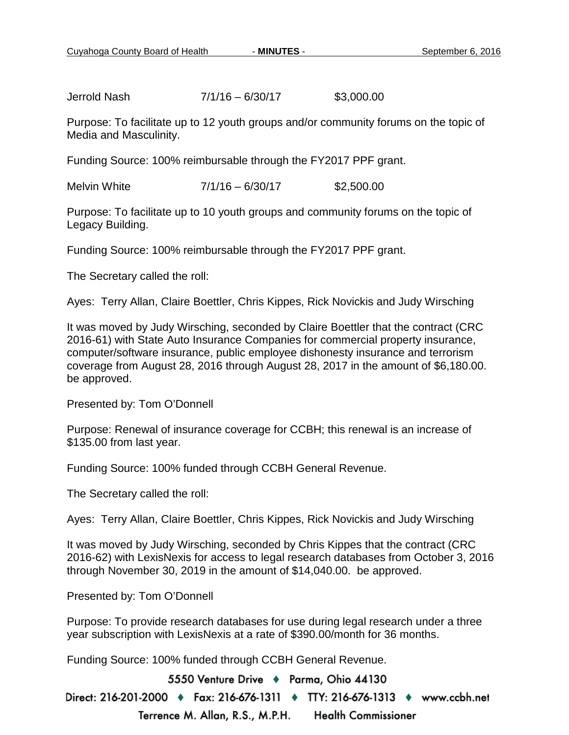Jerrold Nash 7/1/16 – 6/30/17 \$3,000.00

Purpose: To facilitate up to 12 youth groups and/or community forums on the topic of Media and Masculinity.

Funding Source: 100% reimbursable through the FY2017 PPF grant.

Melvin White 7/1/16 – 6/30/17 \$2,500.00

Purpose: To facilitate up to 10 youth groups and community forums on the topic of Legacy Building.

Funding Source: 100% reimbursable through the FY2017 PPF grant.

The Secretary called the roll:

Ayes: Terry Allan, Claire Boettler, Chris Kippes, Rick Novickis and Judy Wirsching

It was moved by Judy Wirsching, seconded by Claire Boettler that the contract (CRC 2016-61) with State Auto Insurance Companies for commercial property insurance, computer/software insurance, public employee dishonesty insurance and terrorism coverage from August 28, 2016 through August 28, 2017 in the amount of \$6,180.00. be approved.

Presented by: Tom O'Donnell

Purpose: Renewal of insurance coverage for CCBH; this renewal is an increase of \$135.00 from last year.

Funding Source: 100% funded through CCBH General Revenue.

The Secretary called the roll:

Ayes: Terry Allan, Claire Boettler, Chris Kippes, Rick Novickis and Judy Wirsching

It was moved by Judy Wirsching, seconded by Chris Kippes that the contract (CRC 2016-62) with LexisNexis for access to legal research databases from October 3, 2016 through November 30, 2019 in the amount of \$14,040.00. be approved.

Presented by: Tom O'Donnell

Purpose: To provide research databases for use during legal research under a three year subscription with LexisNexis at a rate of \$390.00/month for 36 months.

Funding Source: 100% funded through CCBH General Revenue.

5550 Venture Drive + Parma, Ohio 44130

Direct: 216-201-2000 ♦ Fax: 216-676-1311 ♦ TTY: 216-676-1313 ♦ www.ccbh.net Terrence M. Allan, R.S., M.P.H. **Health Commissioner**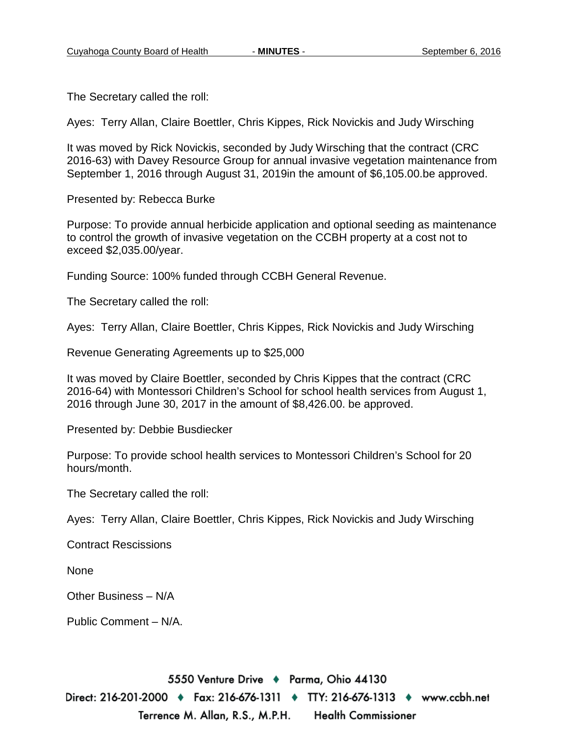The Secretary called the roll:

Ayes: Terry Allan, Claire Boettler, Chris Kippes, Rick Novickis and Judy Wirsching

It was moved by Rick Novickis, seconded by Judy Wirsching that the contract (CRC 2016-63) with Davey Resource Group for annual invasive vegetation maintenance from September 1, 2016 through August 31, 2019in the amount of \$6,105.00.be approved.

Presented by: Rebecca Burke

Purpose: To provide annual herbicide application and optional seeding as maintenance to control the growth of invasive vegetation on the CCBH property at a cost not to exceed \$2,035.00/year.

Funding Source: 100% funded through CCBH General Revenue.

The Secretary called the roll:

Ayes: Terry Allan, Claire Boettler, Chris Kippes, Rick Novickis and Judy Wirsching

Revenue Generating Agreements up to \$25,000

It was moved by Claire Boettler, seconded by Chris Kippes that the contract (CRC 2016-64) with Montessori Children's School for school health services from August 1, 2016 through June 30, 2017 in the amount of \$8,426.00. be approved.

Presented by: Debbie Busdiecker

Purpose: To provide school health services to Montessori Children's School for 20 hours/month.

The Secretary called the roll:

Ayes: Terry Allan, Claire Boettler, Chris Kippes, Rick Novickis and Judy Wirsching

Contract Rescissions

None

Other Business – N/A

Public Comment – N/A.

5550 Venture Drive + Parma, Ohio 44130

Direct: 216-201-2000 ♦ Fax: 216-676-1311 ♦ TTY: 216-676-1313 ♦ www.ccbh.net Terrence M. Allan, R.S., M.P.H. **Health Commissioner**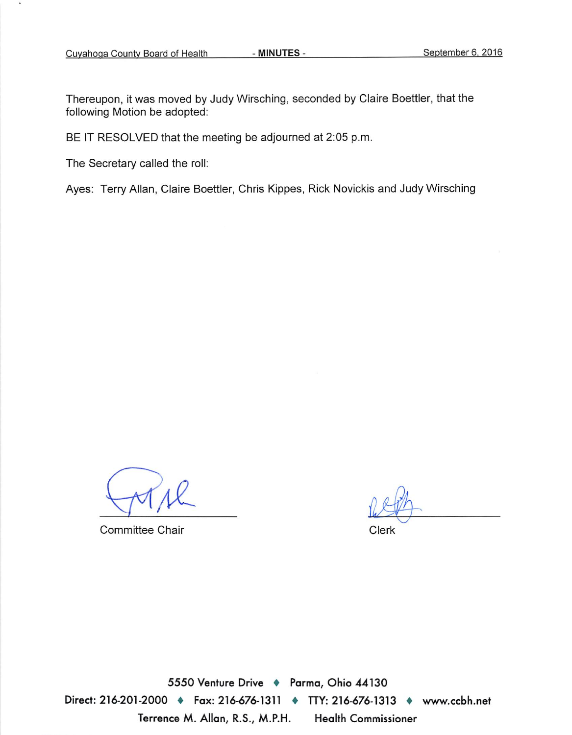Thereupon, it was moved by Judy Wirsching, seconded by Claire Boettler, that the following Motion be adopted:

BE IT RESOLVED that the meeting be adjourned at 2:05 p.m.

The Secretary called the roll:

Ayes: Terry Allan, Claire Boettler, Chris Kippes, Rick Novickis and Judy Wirsching

Committee Chair

Clerk

5550 Venture Drive + Parma, Ohio 44130 Direct: 216-201-2000 ♦ Fax: 216-676-1311 ♦ ITY: 216-676-1313 ♦ www.ccbh.net Terrence M. Allan, R.S., M.P.H. **Health Commissioner**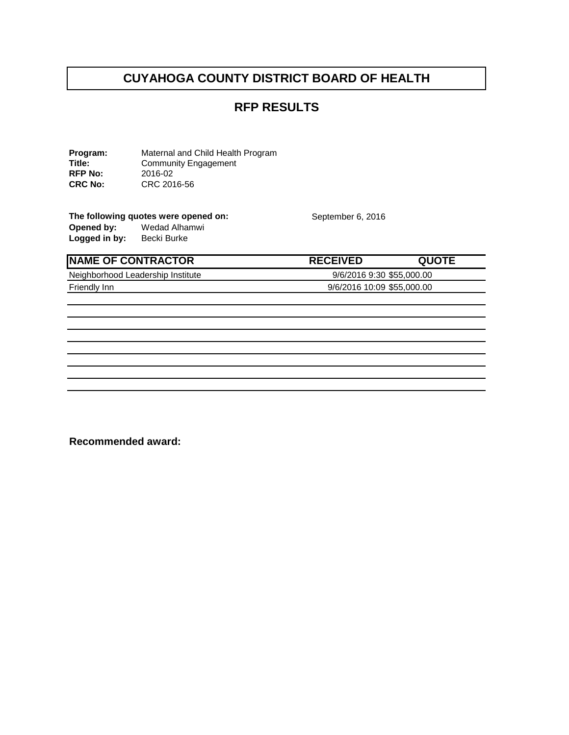# **RFP RESULTS**

**Program:** Maternal and Child Health Program<br> **Title:** Community Engagement Community Engagement<br>2016-02 **RFP No:<br>CRC No: CRC No:** CRC 2016-56

The following quotes were opened on: September 6, 2016<br>
Opened by: Wedad Alhamwi **Opened by:** Wedad Alhamwi Logged in by: Becki Burke

| <b>INAME OF CONTRACTOR</b>        | <b>RECEIVED</b>            | <b>QUOTE</b> |
|-----------------------------------|----------------------------|--------------|
| Neighborhood Leadership Institute | 9/6/2016 9:30 \$55,000.00  |              |
| Friendly Inn                      | 9/6/2016 10:09 \$55,000.00 |              |

**Recommended award:**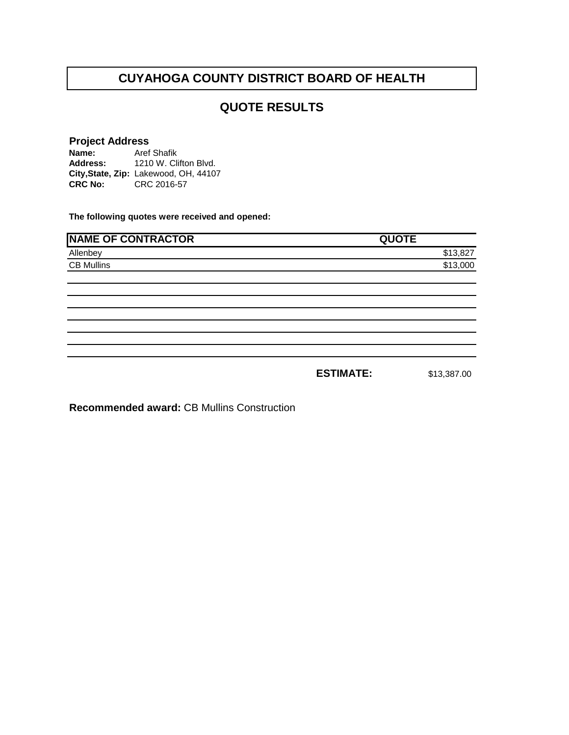# **QUOTE RESULTS**

#### **Project Address**

**Name: Address: City,State, Zip:** Lakewood, OH, 44107**CRC No:** CRC 2016-57 Aref Shafik 1210 W. Clifton Blvd.

**The following quotes were received and opened:**

| <b>NAME OF CONTRACTOR</b> | <b>QUOTE</b>     |             |
|---------------------------|------------------|-------------|
| Allenbey                  |                  | \$13,827    |
| <b>CB Mullins</b>         |                  | \$13,000    |
|                           |                  |             |
|                           |                  |             |
|                           |                  |             |
|                           |                  |             |
|                           |                  |             |
|                           |                  |             |
|                           | <b>ESTIMATE:</b> | \$13,387.00 |

**Recommended award:** CB Mullins Construction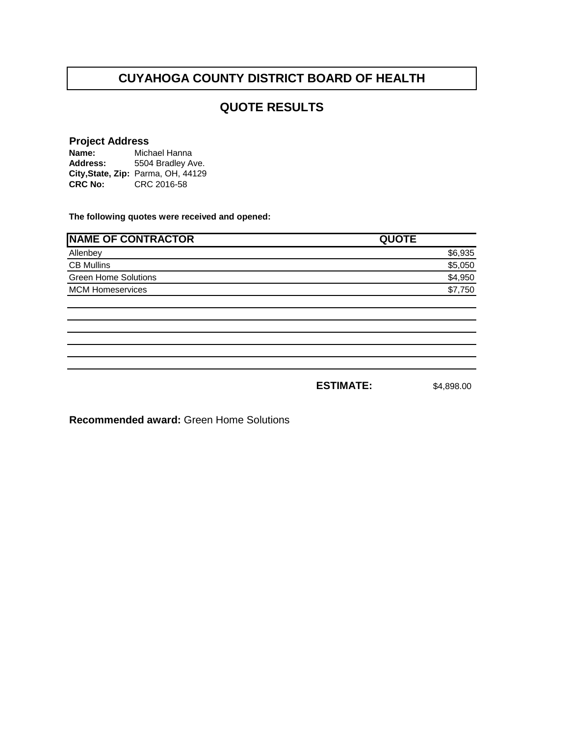# **QUOTE RESULTS**

# **Project Address**

**Name: Address: City,State, Zip:** Parma, OH, 44129**CRC No:** CRC 2016-58 Michael Hanna 5504 Bradley Ave.

**The following quotes were received and opened:**

| <b>NAME OF CONTRACTOR</b>   | <b>QUOTE</b>     |            |
|-----------------------------|------------------|------------|
| Allenbey                    |                  | \$6,935    |
| <b>CB Mullins</b>           |                  | \$5,050    |
| <b>Green Home Solutions</b> |                  | \$4,950    |
| <b>MCM Homeservices</b>     |                  | \$7,750    |
|                             |                  |            |
|                             |                  |            |
|                             |                  |            |
|                             |                  |            |
|                             |                  |            |
|                             |                  |            |
|                             | <b>ESTIMATE:</b> | \$4,898,00 |

**Recommended award:** Green Home Solutions